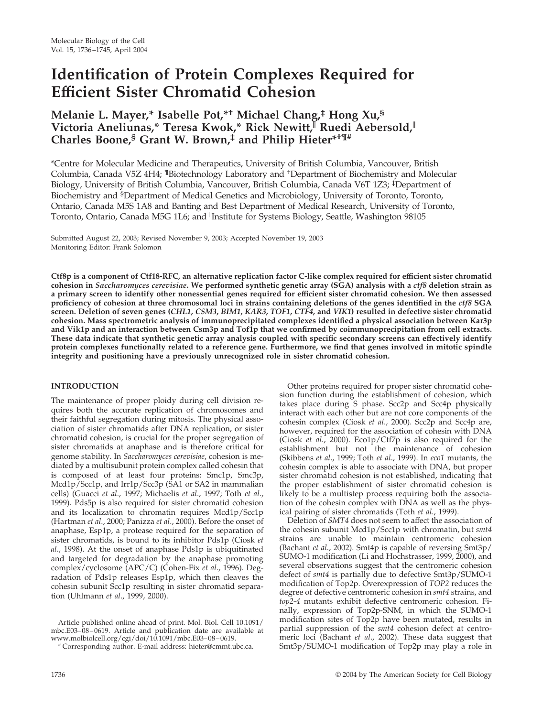# **Identification of Protein Complexes Required for Efficient Sister Chromatid Cohesion**

## **Melanie L. Mayer,\* Isabelle Pot,\*† Michael Chang,‡ Hong Xu,§ Victoria Aneliunas,\* Teresa Kwok,\* Rick Newitt, Ruedi Aebersold, Charles Boone,§ Grant W. Brown,‡ and Philip Hieter\*†¶#**

\*Centre for Molecular Medicine and Therapeutics, University of British Columbia, Vancouver, British Columbia, Canada V5Z 4H4; <sup>¶</sup>Biotechnology Laboratory and <sup>+</sup>Department of Biochemistry and Molecular Biology, University of British Columbia, Vancouver, British Columbia, Canada V6T 1Z3; ‡ Department of Biochemistry and <sup>§</sup>Department of Medical Genetics and Microbiology, University of Toronto, Toronto, Ontario, Canada M5S 1A8 and Banting and Best Department of Medical Research, University of Toronto, Toronto, Ontario, Canada M5G 1L6; and <sup>||</sup>Institute for Systems Biology, Seattle, Washington 98105

Submitted August 22, 2003; Revised November 9, 2003; Accepted November 19, 2003 Monitoring Editor: Frank Solomon

**Ctf8p is a component of Ctf18-RFC, an alternative replication factor C-like complex required for efficient sister chromatid cohesion in** *Saccharomyces cerevisiae***. We performed synthetic genetic array (SGA) analysis with a** *ctf8* **deletion strain as a primary screen to identify other nonessential genes required for efficient sister chromatid cohesion. We then assessed proficiency of cohesion at three chromosomal loci in strains containing deletions of the genes identified in the** *ctf8* **SGA screen. Deletion of seven genes (***CHL1***,** *CSM3***,** *BIM1***,** *KAR3***,** *TOF1***,** *CTF4***, and** *VIK1***) resulted in defective sister chromatid cohesion. Mass spectrometric analysis of immunoprecipitated complexes identified a physical association between Kar3p and Vik1p and an interaction between Csm3p and Tof1p that we confirmed by coimmunoprecipitation from cell extracts. These data indicate that synthetic genetic array analysis coupled with specific secondary screens can effectively identify protein complexes functionally related to a reference gene. Furthermore, we find that genes involved in mitotic spindle integrity and positioning have a previously unrecognized role in sister chromatid cohesion.**

## **INTRODUCTION**

The maintenance of proper ploidy during cell division requires both the accurate replication of chromosomes and their faithful segregation during mitosis. The physical association of sister chromatids after DNA replication, or sister chromatid cohesion, is crucial for the proper segregation of sister chromatids at anaphase and is therefore critical for genome stability. In *Saccharomyces cerevisiae*, cohesion is mediated by a multisubunit protein complex called cohesin that is composed of at least four proteins: Smc1p, Smc3p, Mcd1p/Scc1p, and Irr1p/Scc3p (SA1 or SA2 in mammalian cells) (Guacci *et al*., 1997; Michaelis *et al*., 1997; Toth *et al*., 1999). Pds5p is also required for sister chromatid cohesion and its localization to chromatin requires Mcd1p/Scc1p (Hartman *et al*., 2000; Panizza *et al*., 2000). Before the onset of anaphase, Esp1p, a protease required for the separation of sister chromatids, is bound to its inhibitor Pds1p (Ciosk *et al*., 1998). At the onset of anaphase Pds1p is ubiquitinated and targeted for degradation by the anaphase promoting complex/cyclosome (APC/C) (Cohen-Fix *et al*., 1996). Degradation of Pds1p releases Esp1p, which then cleaves the cohesin subunit Scc1p resulting in sister chromatid separation (Uhlmann *et al*., 1999, 2000).

Article published online ahead of print. Mol. Biol. Cell 10.1091/ mbc.E03–08–0619. Article and publication date are available at www.molbiolcell.org/cgi/doi/10.1091/mbc.E03–08–0619.

# Corresponding author. E-mail address: hieter@cmmt.ubc.ca.

Other proteins required for proper sister chromatid cohesion function during the establishment of cohesion, which takes place during S phase. Scc2p and Scc4p physically interact with each other but are not core components of the cohesin complex (Ciosk *et al*., 2000). Scc2p and Scc4p are, however, required for the association of cohesin with DNA (Ciosk *et al*., 2000). Eco1p/Ctf7p is also required for the establishment but not the maintenance of cohesion (Skibbens *et al*., 1999; Toth *et al*., 1999). In *eco1* mutants, the cohesin complex is able to associate with DNA, but proper sister chromatid cohesion is not established, indicating that the proper establishment of sister chromatid cohesion is likely to be a multistep process requiring both the association of the cohesin complex with DNA as well as the physical pairing of sister chromatids (Toth *et al*., 1999).

Deletion of *SMT4* does not seem to affect the association of the cohesin subunit Mcd1p/Scc1p with chromatin, but *smt4* strains are unable to maintain centromeric cohesion (Bachant *et al*., 2002). Smt4p is capable of reversing Smt3p/ SUMO-1 modification (Li and Hochstrasser, 1999, 2000), and several observations suggest that the centromeric cohesion defect of *smt4* is partially due to defective Smt3p/SUMO-1 modification of Top2p. Overexpression of *TOP2* reduces the degree of defective centromeric cohesion in *smt4* strains, and *top2-4* mutants exhibit defective centromeric cohesion. Finally, expression of Top2p-SNM, in which the SUMO-1 modification sites of Top2p have been mutated, results in partial suppression of the *smt4* cohesion defect at centromeric loci (Bachant *et al*., 2002). These data suggest that Smt3p/SUMO-1 modification of Top2p may play a role in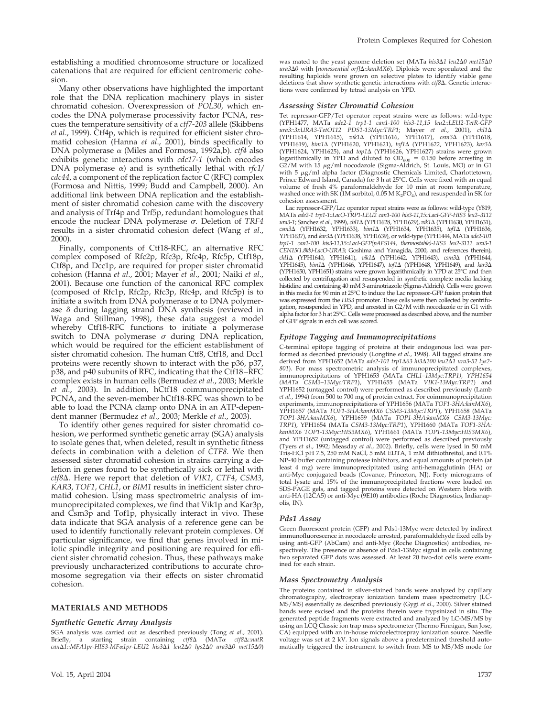establishing a modified chromosome structure or localized catenations that are required for efficient centromeric cohesion.

Many other observations have highlighted the important role that the DNA replication machinery plays in sister chromatid cohesion. Overexpression of *POL30*, which encodes the DNA polymerase processivity factor PCNA, rescues the temperature sensitivity of a *ctf7-203* allele (Skibbens *et al*., 1999). Ctf4p, which is required for efficient sister chromatid cohesion (Hanna *et al*., 2001), binds specifically to DNA polymerase (Miles and Formosa, 1992a,b). *ctf4* also exhibits genetic interactions with *cdc17-1* (which encodes DNA polymerase  $\alpha$ ) and is synthetically lethal with  $rfc1/$ *cdc44*, a component of the replication factor C (RFC) complex (Formosa and Nittis, 1999; Budd and Campbell, 2000). An additional link between DNA replication and the establishment of sister chromatid cohesion came with the discovery and analysis of Trf4p and Trf5p, redundant homologues that encode the nuclear DNA polymerase  $\sigma$ . Deletion of *TRF4* results in a sister chromatid cohesion defect (Wang *et al*., 2000).

Finally, components of Ctf18-RFC, an alternative RFC complex composed of Rfc2p, Rfc3p, Rfc4p, Rfc5p, Ctf18p, Ctf8p, and Dcc1p, are required for proper sister chromatid cohesion (Hanna *et al*., 2001; Mayer *et al*., 2001; Naiki *et al*., 2001). Because one function of the canonical RFC complex (composed of Rfc1p, Rfc2p, Rfc3p, Rfc4p, and Rfc5p) is to initiate a switch from DNA polymerase  $\alpha$  to DNA polymerase  $\delta$  during lagging strand DNA synthesis (reviewed in Waga and Stillman, 1998), these data suggest a model whereby Ctf18-RFC functions to initiate a polymerase switch to DNA polymerase  $\sigma$  during DNA replication, which would be required for the efficient establishment of sister chromatid cohesion. The human Ctf8, Ctf18, and Dcc1 proteins were recently shown to interact with the p36, p37, p38, and p40 subunits of RFC, indicating that the Ctf18–RFC complex exists in human cells (Bermudez *et al*., 2003; Merkle *et al*., 2003). In addition, hCtf18 coimmunoprecipitated PCNA, and the seven-member hCtf18-RFC was shown to be able to load the PCNA clamp onto DNA in an ATP-dependent manner (Bermudez *et al*., 2003; Merkle *et al*., 2003).

To identify other genes required for sister chromatid cohesion, we performed synthetic genetic array (SGA) analysis to isolate genes that, when deleted, result in synthetic fitness defects in combination with a deletion of *CTF8*. We then assessed sister chromatid cohesion in strains carrying a deletion in genes found to be synthetically sick or lethal with *ctf8*. Here we report that deletion of *VIK1*, *CTF4*, *CSM3*, *KAR3*, *TOF1*, *CHL1*, or *BIM1* results in inefficient sister chromatid cohesion. Using mass spectrometric analysis of immunoprecipitated complexes, we find that Vik1p and Kar3p, and Csm3p and Tof1p, physically interact in vivo. These data indicate that SGA analysis of a reference gene can be used to identify functionally relevant protein complexes. Of particular significance, we find that genes involved in mitotic spindle integrity and positioning are required for efficient sister chromatid cohesion. Thus, these pathways make previously uncharacterized contributions to accurate chromosome segregation via their effects on sister chromatid cohesion.

#### **MATERIALS AND METHODS**

#### *Synthetic Genetic Array Analysis*

SGA analysis was carried out as described previously (Tong *et al.*, 2001).<br>Briefly, a starting strain containing *ctf8*Δ (MATα *ctf8*Δ::natR Briefly, a starting strain containing *ctf8∆ (MATα ctf8∆::natR*<br>*can∆1::MFA1pr-HIS3-MFα1pr-LEU2 his3∆1 leu2∆0 lys2∆0 ura3∆0 met15∆0)* 

was mated to the yeast genome deletion set (MATa *his31 leu20 met150 ura30* with [*nonessential orf]::kanMX6*). Diploids were sporulated and the resulting haploids were grown on selective plates to identify viable gene deletions that show synthetic genetic interactions with *ctf8*. Genetic interactions were confirmed by tetrad analysis on YPD.

#### *Assessing Sister Chromatid Cohesion*

Tet repressor-GFP/Tet operator repeat strains were as follows: wild-type (YPH1477, MATa *ade2-1 trp1-1 can1-100 his3-11*,*15 leu2::LEU2-TetR-GFP ura3::3xURA3-TetO112 PDS1-13Myc:TRP1*; Mayer *et al*., 2001), *chl1* (YPH1614, YPH1615), *vik1* (YPH1616, YPH1617), *csm3* (YPH1618, YPH1619), *bim1* (YPH1620, YPH1621), *tof1* (YPH1622, YPH1623), *kar3* (YPH1624, YPH1625), and *top1* (YPH1626, YPH1627) strains were grown logarithmically in YPD and diluted to  $OD_{600} = 0.150$  before arresting in  $G2/M$  with 15  $\mu$ g/ml nocodazole (Sigma-Aldrich, St. Louis, MO) or in G1 with 5  $\mu$ g/ml alpha factor (Diagnostic Chemicals Limited, Charlottetown, Prince Edward Island, Canada) for 3 h at 25°C. Cells were fixed with an equal volume of fresh 4% paraformaldehyde for 10 min at room temperature,<br>washed once with SK (1M sorbitol, 0.05 M K<sub>2</sub>PO<sub>4</sub>), and resuspended in SK for cohesion assessment.

Lac repressor-GFP/Lac operator repeat strains were as follows: wild-type (Y819, MATa *ade2-1 trp1-1::LacO-TRP1-LEU2 can1-100 his3-11*,*15::LacI-GFP-HIS3 leu2–3112 ura3-1*; Sanchez *et al*., 1999), *chl1* (YPH1628, YPH1629), *vik1* (YPH1630, YPH1631), *csm3* (YPH1632, YPH1633), *bim1* (YPH1634, YPH1635), *tof1* (YPH1636, YPH1637), and *kar3* (YPH1638, YPH1639), or wild-type (YPH1444, MATa *ade2-101 trp1-1 can1-100 his3-11*,*15::LacI-GFP(pAFS144*, *thermostable)-HIS3 leu2-3112 ura3-1 CEN15(1.8kb)-LacO-URA3*; Goshima and Yanagida, 2000, and references therein), *chl1* (YPH1640, YPH1641), *vik1* (YPH1642, YPH1643), *csm3* (YPH1644, YPH1645), *bim1* (YPH1646, YPH1647), *tof1* (YPH1648, YPH1649), and *kar3* (YPH1650, YPH1651) strains were grown logarithmically in YPD at 25°C and then collected by centrifugation and resuspended in synthetic complete media lacking histidine and containing 40 mM 3-aminotriazole (Sigma-Aldrich). Cells were grown in this media for 90 min at 25°C to induce the Lac repressor-GFP fusion protein that was expressed from the HIS3 promoter. These cells were then collected by centrifugation, resuspended in YPD, and arrested in G2/M with nocodazole or in G1 with alpha factor for 3 h at 25°C. Cells were processed as described above, and the number of GFP signals in each cell was scored.

#### *Epitope Tagging and Immunoprecipitations*

C-terminal epitope tagging of proteins at their endogenous loci was performed as described previously (Longtine *et al*., 1998). All tagged strains are derived from YPH1652 (MATa *ade2-101 trp163 hi3200 leu21 ura3-52 lys2- 801*). For mass spectrometric analysis of immunoprecipitated complexes, immunoprecipitations of YPH1653 (MATa *CHL1–13Myc:TRP1), YPH1654 (MATa CSM3–13Myc:TRP1*), YPH1655 (MATa *VIK1-13Myc:TRP1*) and YPH1652 (untagged control) were performed as described previously (Lamb *et al*., 1994) from 500 to 700 mg of protein extract. For coimmunoprecipitation experiments, immunoprecipitations of YPH1656 (MATa *TOF1-3HA:kanMX6*), YPH1657 (MATa *TOF1-3HA:kanMX6 CSM3-13Myc:TRP1*), YPH1658 (MATa *TOP1-3HA:kanMX6*), YPH1659 (MATa *TOP1-3HA:kanMX6 CSM3-13Myc: TRP1*), YPH1654 (MATa *CSM3-13Myc:TRP1*), YPH1660 (MATa *TOF1-3HA: kanMX6 TOP1-13Myc:HIS3MX6*), YPH1661 (MATa *TOP1-13Myc:HIS3MX6*), and YPH1652 (untagged control) were performed as described previously (Tyers *et al*., 1992; Measday *et al*., 2002). Briefly, cells were lysed in 50 mM Tris-HCl pH 7.5, 250 mM NaCl, 5 mM EDTA, 1 mM dithiothreitol, and 0.1% NP-40 buffer containing protease inhibitors, and equal amounts of protein (at least 4 mg) were immunoprecipitated using anti-hemagglutinin (HA) or anti-Myc conjugated beads (Covance, Princeton, NJ). Forty micrograms of total lysate and 15% of the immunoprecipitated fractions were loaded on SDS-PAGE gels, and tagged proteins were detected on Western blots with anti-HA (12CA5) or anti-Myc (9E10) antibodies (Roche Diagnostics, Indianapolis, IN).

#### *Pds1 Assay*

Green fluorescent protein (GFP) and Pds1-13Myc were detected by indirect immunofluorescence in nocodazole arrested, paraformaldehyde fixed cells by using anti-GFP (AbCam) and anti-Myc (Roche Diagnostics) antibodies, respectively. The presence or absence of Pds1-13Myc signal in cells containing two separated GFP dots was assessed. At least 20 two-dot cells were examined for each strain.

#### *Mass Spectrometry Analysis*

The proteins contained in silver-stained bands were analyzed by capillary chromatography, electrospray ionization tandem mass spectrometry (LC-MS/MS) essentially as described previously (Gygi *et al*., 2000). Silver stained bands were excised and the proteins therein were trypsinized in situ. The generated peptide fragments were extracted and analyzed by LC-MS/MS by using an LCQ Classic ion trap mass spectrometer (Thermo Finnigan, San Jose, CA) equipped with an in-house microelectrospray ionization source. Needle voltage was set at 2 kV. Ion signals above a predetermined threshold automatically triggered the instrument to switch from MS to MS/MS mode for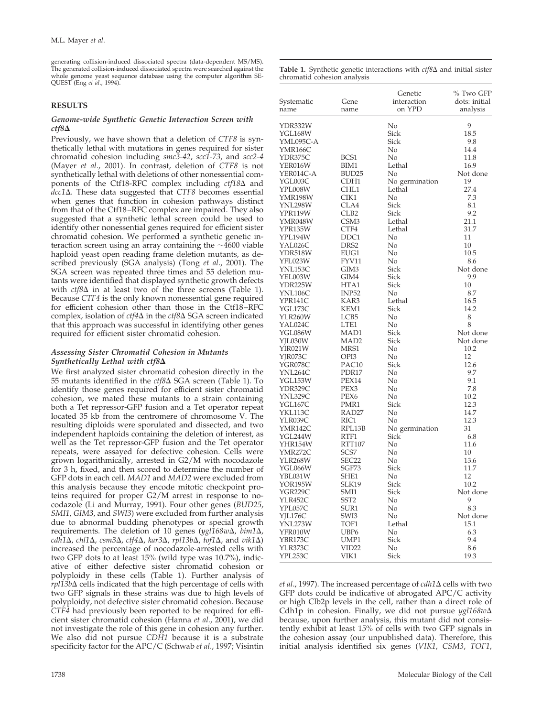generating collision-induced dissociated spectra (data-dependent MS/MS). The generated collision-induced dissociated spectra were searched against the whole genome yeast sequence database using the computer algorithm SE-QUEST (Eng *et al*., 1994).

## **RESULTS**

#### *Genome-wide Synthetic Genetic Interaction Screen with ctf8*

Previously, we have shown that a deletion of *CTF8* is synthetically lethal with mutations in genes required for sister chromatid cohesion including *smc3-42*, *scc1-73*, and *scc2-4* (Mayer *et al*., 2001). In contrast, deletion of *CTF8* is not synthetically lethal with deletions of other nonessential components of the Ctf18-RFC complex including *ctf18* and *dcc1*. These data suggested that *CTF8* becomes essential when genes that function in cohesion pathways distinct from that of the Ctf18–RFC complex are impaired. They also suggested that a synthetic lethal screen could be used to identify other nonessential genes required for efficient sister chromatid cohesion. We performed a synthetic genetic interaction screen using an array containing the  $\sim$ 4600 viable haploid yeast open reading frame deletion mutants, as described previously (SGA analysis) (Tong *et al*., 2001). The SGA screen was repeated three times and 55 deletion mutants were identified that displayed synthetic growth defects with  $ctf8\Delta$  in at least two of the three screens (Table 1). Because *CTF4* is the only known nonessential gene required for efficient cohesion other than those in the Ctf18–RFC complex, isolation of *ctf4* $\Delta$  in the *ctf8* $\Delta$  SGA screen indicated that this approach was successful in identifying other genes required for efficient sister chromatid cohesion.

## *Assessing Sister Chromatid Cohesion in Mutants Synthetically Lethal with ctf8*

We first analyzed sister chromatid cohesion directly in the 55 mutants identified in the *ctf8* SGA screen (Table 1). To identify those genes required for efficient sister chromatid cohesion, we mated these mutants to a strain containing both a Tet repressor-GFP fusion and a Tet operator repeat located 35 kb from the centromere of chromosome V. The resulting diploids were sporulated and dissected, and two independent haploids containing the deletion of interest, as well as the Tet repressor-GFP fusion and the Tet operator repeats, were assayed for defective cohesion. Cells were grown logarithmically, arrested in G2/M with nocodazole for 3 h, fixed, and then scored to determine the number of GFP dots in each cell. *MAD1* and *MAD2* were excluded from this analysis because they encode mitotic checkpoint proteins required for proper G2/M arrest in response to nocodazole (Li and Murray, 1991). Four other genes (*BUD25*, *SMI1*, *GIM3*, and *SWI3*) were excluded from further analysis due to abnormal budding phenotypes or special growth requirements. The deletion of 10 genes ( $\gamma g l \bar{l} 68w \Delta$ ,  $\bar{b} i m \bar{l} \Delta$ ,  $cdh1\Delta$ ,  $ch11\Delta$ ,  $csm3\Delta$ ,  $ctf4\Delta$ ,  $kar3\Delta$ ,  $rp113b\Delta$ ,  $tof1\Delta$ , and  $vik1\Delta$ ) increased the percentage of nocodazole-arrested cells with two GFP dots to at least 15% (wild type was 10.7%), indicative of either defective sister chromatid cohesion or polyploidy in these cells (Table 1). Further analysis of *rpl13b* cells indicated that the high percentage of cells with two GFP signals in these strains was due to high levels of polyploidy, not defective sister chromatid cohesion. Because *CTF4* had previously been reported to be required for efficient sister chromatid cohesion (Hanna *et al*., 2001), we did not investigate the role of this gene in cohesion any further. We also did not pursue *CDH1* because it is a substrate specificity factor for the APC/C (Schwab *et al*., 1997; Visintin

**Table 1.** Synthetic genetic interactions with *ctf8* and initial sister chromatid cohesion analysis

| Systematic         | Gene              | Genetic<br>interaction | % Two GFP<br>dots: initial |
|--------------------|-------------------|------------------------|----------------------------|
| name               | name              | on YPD                 | analysis                   |
| YDR332W            |                   | No                     | 9                          |
| YGL168W            |                   | Sick                   | 18.5                       |
| YML095C-A          |                   | Sick                   | 9.8                        |
| YMR166C            |                   | No                     | 14.4                       |
| YDR375C            | BCS <sub>1</sub>  | No                     | 11.8                       |
| YER016W            | BIM1              | Lethal                 | 16.9                       |
| YER014C-A          | BUD <sub>25</sub> | No                     | Not done                   |
| YGL003C            | CDH1              | No germination         | 19                         |
| YPL008W            | CHL1              | Lethal                 | 27.4                       |
| YMR198W            | CIK1              | No                     | 7.3                        |
| YNL298W            | CLA4              | Sick                   | 8.1                        |
| YPR119W            | CLB <sub>2</sub>  | Sick                   | 9.2                        |
| YMR048W            | CSM3              | Lethal                 | 21.1                       |
| YPR135W            | CTF4              | Lethal                 | 31.7                       |
| YPL194W            | DDC1              | No                     | 11                         |
| YAL026C            | DRS <sub>2</sub>  | No                     | 10                         |
| YDR518W            | EUG1              | No                     | 10.5                       |
| YFL023W            | FYV11             | No                     | 8.6                        |
| YNL153C            | GIM <sub>3</sub>  | Sick                   | Not done                   |
| YEL003W            | GIM4              | Sick                   | 9.9                        |
| YDR225W            | HTA1              | Sick                   | 10                         |
| YNL106C            | INP <sub>52</sub> | No                     | 8.7                        |
| YPR141C            | KAR3              | Lethal                 | 16.5                       |
| YGL173C            | KEM1              | Sick                   | 14.2                       |
| YLR260W            | LCB5              | No                     | 8                          |
| YAL024C            | LTE <sub>1</sub>  | No                     | 8                          |
| YGL086W            | MAD1              | Sick                   | Not done                   |
| YJL030W            | MAD2              | Sick                   | Not done                   |
| <b>YIR021W</b>     | MRS1              | No                     | 10.2                       |
| YJR073C            | OPI3              | No                     | 12                         |
| YGR078C            | PAC <sub>10</sub> | Sick                   | 12.6                       |
| YNL264C            | PDR17             | No                     | 9.7                        |
| YGL153W            | PEX14             | No                     | 9.1                        |
| YDR329C            | PEX <sub>3</sub>  | No                     | 7.8                        |
| YNL329C            | PEX <sub>6</sub>  | No                     | 10.2                       |
| YGL167C            | PMR1              | Sick                   | 12.3                       |
| YKL113C<br>YLR039C | RAD27<br>RIC1     | No<br>No               | 14.7<br>12.3               |
| YMR142C            | RPL13B            | No germination         | 31                         |
| YGL244W            | RTF1              | Sick                   | 6.8                        |
| YHR154W            | RTT107            | No                     | 11.6                       |
| YMR272C            | SCS7              | No                     | 10                         |
| YLR268W            | SEC <sub>22</sub> | No                     | 13.6                       |
| YGL066W            | SGF73             | Sick                   | 11.7                       |
| YBL031W            | SHE1              | No                     | 12                         |
| YOR195W            | SLK19             | Sick                   | 10.2                       |
| <b>YGR229C</b>     | SMI1              | Sick                   | Not done                   |
| YLR452C            | SST <sub>2</sub>  | No                     | 9                          |
| YPL057C            | SUR1              | No                     | 8.3                        |
| YJL176C            | SWI3              | No                     | Not done                   |
| YNL273W            | TOF1              | Lethal                 | 15.1                       |
| YFR010W            | UBP6              | No                     | 6.3                        |
| YBR173C            | UMP1              | Sick                   | 9.4                        |
| YLR373C            | VID22             | No                     | 8.6                        |
| YPL253C            | VIK1              | Sick                   | 19.3                       |

*et al*., 1997). The increased percentage of *cdh1* cells with two GFP dots could be indicative of abrogated APC/C activity or high Clb2p levels in the cell, rather than a direct role of Cdh1p in cohesion. Finally, we did not pursue *ygl168w* because, upon further analysis, this mutant did not consistently exhibit at least 15% of cells with two GFP signals in the cohesion assay (our unpublished data). Therefore, this initial analysis identified six genes (*VIK1*, *CSM3*, *TOF1*,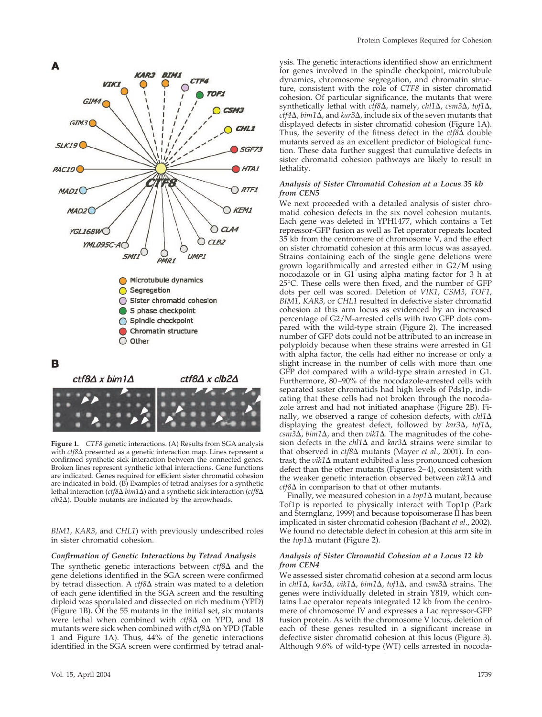



**Figure 1.** *CTF8* genetic interactions. (A) Results from SGA analysis with *ctf8* $\Delta$  presented as a genetic interaction map. Lines represent a confirmed synthetic sick interaction between the connected genes. Broken lines represent synthetic lethal interactions. Gene functions are indicated. Genes required for efficient sister chromatid cohesion are indicated in bold. (B) Examples of tetrad analyses for a synthetic lethal interaction ( $ctf8\Delta$  *bim*1 $\Delta$ ) and a synthetic sick interaction ( $ctf8\Delta$ *clb2*). Double mutants are indicated by the arrowheads.

*BIM1*, *KAR3*, and *CHL1*) with previously undescribed roles in sister chromatid cohesion.

#### *Confirmation of Genetic Interactions by Tetrad Analysis*

The synthetic genetic interactions between  $ctf8\Delta$  and the gene deletions identified in the SGA screen were confirmed by tetrad dissection. A  $ctf8\Delta$  strain was mated to a deletion of each gene identified in the SGA screen and the resulting diploid was sporulated and dissected on rich medium (YPD) (Figure 1B). Of the 55 mutants in the initial set, six mutants were lethal when combined with  $ctf8\Delta$  on YPD, and 18 mutants were sick when combined with *ctf8* on YPD (Table 1 and Figure 1A). Thus, 44% of the genetic interactions identified in the SGA screen were confirmed by tetrad analysis. The genetic interactions identified show an enrichment for genes involved in the spindle checkpoint, microtubule dynamics, chromosome segregation, and chromatin structure, consistent with the role of *CTF8* in sister chromatid cohesion. Of particular significance, the mutants that were synthetically lethal with  $\tilde{c}$  *tf8* $\Delta$ , namely, *chl1* $\Delta$ , *csm3* $\Delta$ , *tof1* $\Delta$ ,  $ctf4\Delta$ , *bim*1 $\Delta$ , and *kar*3 $\Delta$ , include six of the seven mutants that displayed defects in sister chromatid cohesion (Figure 1A). Thus, the severity of the fitness defect in the  $ctf8\Delta$  double mutants served as an excellent predictor of biological function. These data further suggest that cumulative defects in sister chromatid cohesion pathways are likely to result in lethality.

## *Analysis of Sister Chromatid Cohesion at a Locus 35 kb from CEN5*

We next proceeded with a detailed analysis of sister chromatid cohesion defects in the six novel cohesion mutants. Each gene was deleted in YPH1477, which contains a Tet repressor-GFP fusion as well as Tet operator repeats located 35 kb from the centromere of chromosome V, and the effect on sister chromatid cohesion at this arm locus was assayed. Strains containing each of the single gene deletions were grown logarithmically and arrested either in G2/M using nocodazole or in G1 using alpha mating factor for 3 h at 25°C. These cells were then fixed, and the number of GFP dots per cell was scored. Deletion of *VIK1*, *CSM3*, *TOF1*, *BIM1*, *KAR3*, or *CHL1* resulted in defective sister chromatid cohesion at this arm locus as evidenced by an increased percentage of G2/M-arrested cells with two GFP dots compared with the wild-type strain (Figure 2). The increased number of GFP dots could not be attributed to an increase in polyploidy because when these strains were arrested in G1 with alpha factor, the cells had either no increase or only a slight increase in the number of cells with more than one GFP dot compared with a wild-type strain arrested in G1. Furthermore, 80–90% of the nocodazole-arrested cells with separated sister chromatids had high levels of Pds1p, indicating that these cells had not broken through the nocodazole arrest and had not initiated anaphase (Figure 2B). Finally, we observed a range of cohesion defects, with *chl1* displaying the greatest defect, followed by  $kar3\Delta$ ,  $tof1\Delta$ ,  $c$ sm3 $\Delta$ , *bim1* $\Delta$ , and then *vik1* $\Delta$ . The magnitudes of the cohesion defects in the  $\text{ch}11\Delta$  and  $\text{kar}3\Delta$  strains were similar to that observed in *ctf8*∆ mutants (Mayer *et al.*, 2001). In contrast, the *vik1* $\Delta$  mutant exhibited a less pronounced cohesion defect than the other mutants (Figures 2–4), consistent with the weaker genetic interaction observed between  $vik1\Delta$  and  $ctf8\Delta$  in comparison to that of other mutants.

Finally, we measured cohesion in a  $top1\Delta$  mutant, because Tof1p is reported to physically interact with Top1p (Park and Sternglanz, 1999) and because topoisomerase II has been implicated in sister chromatid cohesion (Bachant *et al*., 2002). We found no detectable defect in cohesion at this arm site in the  $top1\Delta$  mutant (Figure 2).

#### *Analysis of Sister Chromatid Cohesion at a Locus 12 kb from CEN4*

We assessed sister chromatid cohesion at a second arm locus in *chl1* $\Delta$ *, kar3* $\Delta$ *, vik1* $\Delta$ *, bim1* $\Delta$ *, tof1* $\Delta$ *, and <i>csm3* $\Delta$  strains. The genes were individually deleted in strain Y819, which contains Lac operator repeats integrated 12 kb from the centromere of chromosome IV and expresses a Lac repressor-GFP fusion protein. As with the chromosome V locus, deletion of each of these genes resulted in a significant increase in defective sister chromatid cohesion at this locus (Figure 3). Although 9.6% of wild-type (WT) cells arrested in nocoda-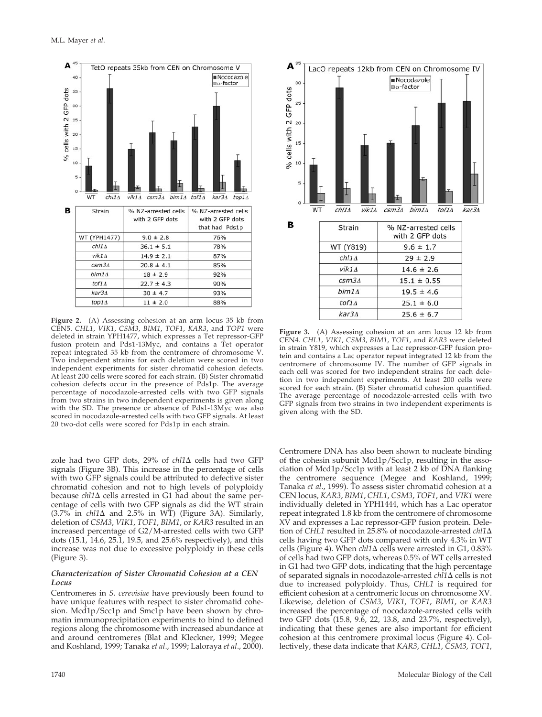

**Figure 2.** (A) Assessing cohesion at an arm locus 35 kb from CEN5. *CHL1*, *VIK1*, *CSM3*, *BIM1*, *TOF1*, *KAR3*, and *TOP1* were deleted in strain YPH1477, which expresses a Tet repressor-GFP fusion protein and Pds1-13Myc, and contains a Tet operator repeat integrated 35 kb from the centromere of chromosome V. Two independent strains for each deletion were scored in two independent experiments for sister chromatid cohesion defects. At least 200 cells were scored for each strain. (B) Sister chromatid cohesion defects occur in the presence of Pds1p. The average percentage of nocodazole-arrested cells with two GFP signals from two strains in two independent experiments is given along with the SD. The presence or absence of Pds1-13Myc was also scored in nocodazole-arrested cells with two GFP signals. At least 20 two-dot cells were scored for Pds1p in each strain.

zole had two GFP dots, 29% of *chl1* $\Delta$  cells had two GFP signals (Figure 3B). This increase in the percentage of cells with two GFP signals could be attributed to defective sister chromatid cohesion and not to high levels of polyploidy because  $\text{ch}11\Delta$  cells arrested in G1 had about the same percentage of cells with two GFP signals as did the WT strain  $(3.7\%$  in *chl1* $\Delta$  and 2.5% in WT) (Figure 3A). Similarly, deletion of *CSM3*, *VIK1*, *TOF1*, *BIM1*, or *KAR3* resulted in an increased percentage of G2/M-arrested cells with two GFP dots (15.1, 14.6, 25.1, 19.5, and 25.6% respectively), and this increase was not due to excessive polyploidy in these cells (Figure 3).

#### *Characterization of Sister Chromatid Cohesion at a CEN Locus*

Centromeres in *S. cerevisiae* have previously been found to have unique features with respect to sister chromatid cohesion. Mcd1p/Scc1p and Smc1p have been shown by chromatin immunoprecipitation experiments to bind to defined regions along the chromosome with increased abundance at and around centromeres (Blat and Kleckner, 1999; Megee and Koshland, 1999; Tanaka *et al*., 1999; Laloraya *et al*., 2000).



**Figure 3.** (A) Assessing cohesion at an arm locus 12 kb from CEN4. *CHL1*, *VIK1*, *CSM3*, *BIM1*, *TOF1*, and *KAR3* were deleted in strain Y819, which expresses a Lac repressor-GFP fusion protein and contains a Lac operator repeat integrated 12 kb from the centromere of chromosome IV. The number of GFP signals in each cell was scored for two independent strains for each deletion in two independent experiments. At least 200 cells were scored for each strain. (B) Sister chromatid cohesion quantified. The average percentage of nocodazole-arrested cells with two GFP signals from two strains in two independent experiments is given along with the SD.

Centromere DNA has also been shown to nucleate binding of the cohesin subunit Mcd1p/Scc1p, resulting in the association of Mcd1p/Scc1p with at least 2 kb of DNA flanking the centromere sequence (Megee and Koshland, 1999; Tanaka *et al*., 1999). To assess sister chromatid cohesion at a CEN locus, *KAR3*, *BIM1*, *CHL1*, *CSM3*, *TOF1*, and *VIK1* were individually deleted in YPH1444, which has a Lac operator repeat integrated 1.8 kb from the centromere of chromosome XV and expresses a Lac repressor-GFP fusion protein. Deletion of *CHL1* resulted in 25.8% of nocodazole-arrested *chl1* cells having two GFP dots compared with only 4.3% in WT cells (Figure 4). When  $\text{ch}11\Delta$  cells were arrested in G1, 0.83% of cells had two GFP dots, whereas 0.5% of WT cells arrested in G1 had two GFP dots, indicating that the high percentage of separated signals in nocodazole-arrested *chl1* cells is not due to increased polyploidy. Thus, *CHL1* is required for efficient cohesion at a centromeric locus on chromosome XV. Likewise, deletion of *CSM3*, *VIK1*, *TOF1*, *BIM1*, or *KAR3* increased the percentage of nocodazole-arrested cells with two GFP dots (15.8, 9.6, 22, 13.8, and 23.7%, respectively), indicating that these genes are also important for efficient cohesion at this centromere proximal locus (Figure 4). Collectively, these data indicate that *KAR3*, *CHL1*, *CSM3*, *TOF1*,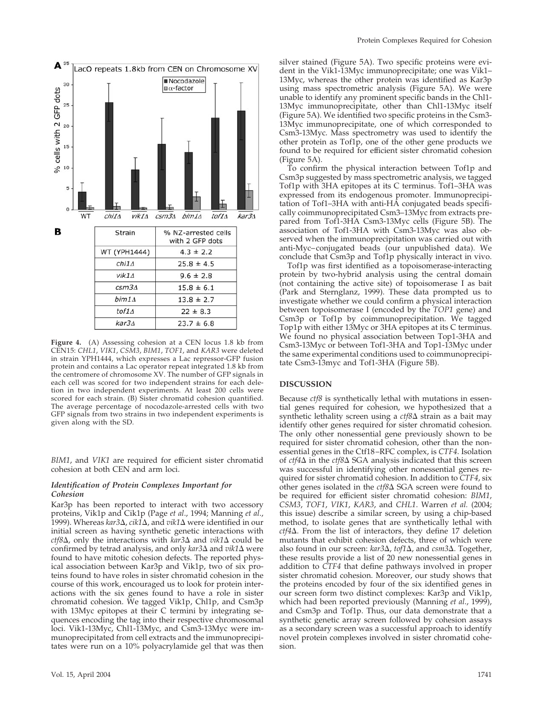

**Figure 4.** (A) Assessing cohesion at a CEN locus 1.8 kb from CEN15: *CHL1*, *VIK1*, *CSM3*, *BIM1*, *TOF1*, and *KAR3* were deleted in strain YPH1444, which expresses a Lac repressor-GFP fusion protein and contains a Lac operator repeat integrated 1.8 kb from the centromere of chromosome XV. The number of GFP signals in each cell was scored for two independent strains for each deletion in two independent experiments. At least 200 cells were scored for each strain. (B) Sister chromatid cohesion quantified. The average percentage of nocodazole-arrested cells with two GFP signals from two strains in two independent experiments is given along with the SD.

*BIM1*, and *VIK1* are required for efficient sister chromatid cohesion at both CEN and arm loci.

#### *Identification of Protein Complexes Important for Cohesion*

Kar3p has been reported to interact with two accessory proteins, Vik1p and Cik1p (Page *et al*., 1994; Manning *et al*., 1999). Whereas *kar3*, *cik1*, and *vik1* were identified in our initial screen as having synthetic genetic interactions with *ctf8* $\Delta$ , only the interactions with *kar3* $\Delta$  and *vik1* $\Delta$  could be confirmed by tetrad analysis, and only *kar3* and *vik1* were found to have mitotic cohesion defects. The reported physical association between Kar3p and Vik1p, two of six proteins found to have roles in sister chromatid cohesion in the course of this work, encouraged us to look for protein interactions with the six genes found to have a role in sister chromatid cohesion. We tagged Vik1p, Chl1p, and Csm3p with 13Myc epitopes at their C termini by integrating sequences encoding the tag into their respective chromosomal loci. Vik1-13Myc, Chl1-13Myc, and Csm3-13Myc were immunoprecipitated from cell extracts and the immunoprecipitates were run on a 10% polyacrylamide gel that was then

silver stained (Figure 5A). Two specific proteins were evident in the Vik1-13Myc immunoprecipitate; one was Vik1– 13Myc, whereas the other protein was identified as Kar3p using mass spectrometric analysis (Figure 5A). We were unable to identify any prominent specific bands in the Chl1- 13Myc immunoprecipitate, other than Chl1-13Myc itself (Figure 5A). We identified two specific proteins in the Csm3- 13Myc immunoprecipitate, one of which corresponded to Csm3-13Myc. Mass spectrometry was used to identify the other protein as Tof1p, one of the other gene products we found to be required for efficient sister chromatid cohesion (Figure 5A).

To confirm the physical interaction between Tof1p and Csm3p suggested by mass spectrometric analysis, we tagged Tof1p with 3HA epitopes at its C terminus. Tof1–3HA was expressed from its endogenous promoter. Immunoprecipitation of Tof1–3HA with anti-HA conjugated beads specifically coimmunoprecipitated Csm3–13Myc from extracts prepared from Tof1-3HA Csm3-13Myc cells (Figure 5B). The association of Tof1-3HA with Csm3-13Myc was also observed when the immunoprecipitation was carried out with anti-Myc–conjugated beads (our unpublished data). We conclude that Csm3p and Tof1p physically interact in vivo.

Tof1p was first identified as a topoisomerase-interacting protein by two-hybrid analysis using the central domain (not containing the active site) of topoisomerase I as bait (Park and Sternglanz, 1999). These data prompted us to investigate whether we could confirm a physical interaction between topoisomerase I (encoded by the *TOP1* gene) and Csm3p or Tof1p by coimmunoprecipitation. We tagged Top1p with either 13Myc or 3HA epitopes at its C terminus. We found no physical association between Top1-3HA and Csm3-13Myc or between Tof1-3HA and Top1-13Myc under the same experimental conditions used to coimmunoprecipitate Csm3-13myc and Tof1-3HA (Figure 5B).

#### **DISCUSSION**

Because *ctf8* is synthetically lethal with mutations in essential genes required for cohesion, we hypothesized that a synthetic lethality screen using a  $ctf8\Delta$  strain as a bait may identify other genes required for sister chromatid cohesion. The only other nonessential gene previously shown to be required for sister chromatid cohesion, other than the nonessential genes in the Ctf18–RFC complex, is *CTF4*. Isolation of  $ctf4\Delta$  in the  $ctf8\Delta$  SGA analysis indicated that this screen was successful in identifying other nonessential genes required for sister chromatid cohesion. In addition to *CTF4*, six other genes isolated in the *ctf8* $\Delta$  SGA screen were found to be required for efficient sister chromatid cohesion: *BIM1*, *CSM3*, *TOF1*, *VIK1*, *KAR3*, and *CHL1*. Warren *et al.* (2004; this issue) describe a similar screen, by using a chip-based method, to isolate genes that are synthetically lethal with  $ctf4\Delta$ . From the list of interactors, they define 17 deletion mutants that exhibit cohesion defects, three of which were also found in our screen: *kar3*Δ, *tof1*Δ, and *csm3*Δ. Together, these results provide a list of 20 new nonessential genes in addition to *CTF4* that define pathways involved in proper sister chromatid cohesion. Moreover, our study shows that the proteins encoded by four of the six identified genes in our screen form two distinct complexes: Kar3p and Vik1p, which had been reported previously (Manning *et al*., 1999), and Csm3p and Tof1p. Thus, our data demonstrate that a synthetic genetic array screen followed by cohesion assays as a secondary screen was a successful approach to identify novel protein complexes involved in sister chromatid cohesion.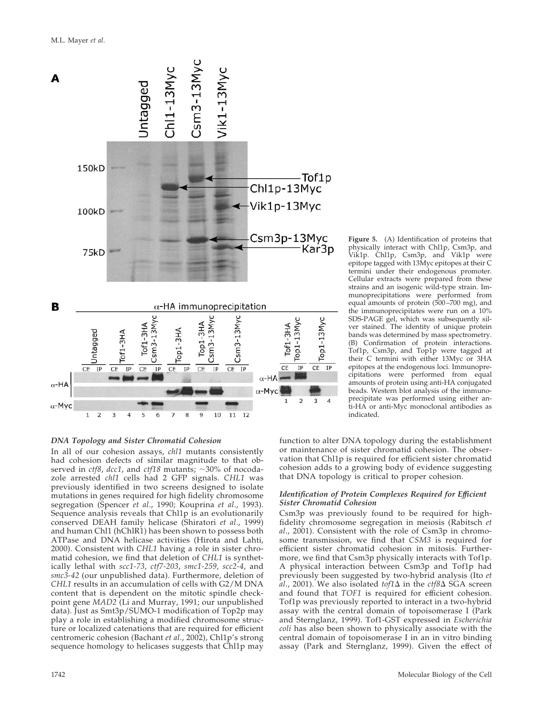

## *DNA Topology and Sister Chromatid Cohesion*

In all of our cohesion assays, *chl1* mutants consistently had cohesion defects of similar magnitude to that observed in  $ctf8$ ,  $dcc1$ , and  $ctf18$  mutants;  $\sim$ 30% of nocodazole arrested *chl1* cells had 2 GFP signals. *CHL1* was previously identified in two screens designed to isolate mutations in genes required for high fidelity chromosome segregation (Spencer *et al*., 1990; Kouprina *et al*., 1993). Sequence analysis reveals that Chl1p is an evolutionarily conserved DEAH family helicase (Shiratori *et al*., 1999) and human Chl1 (hChlR1) has been shown to possess both ATPase and DNA helicase activities (Hirota and Lahti, 2000). Consistent with *CHL1* having a role in sister chromatid cohesion, we find that deletion of *CHL1* is synthetically lethal with *scc1-73*, *ctf7-203*, *smc1-259*, *scc2-4*, and *smc3-42* (our unpublished data). Furthermore, deletion of *CHL1* results in an accumulation of cells with G2/M DNA content that is dependent on the mitotic spindle checkpoint gene *MAD2* (Li and Murray, 1991; our unpublished data). Just as Smt3p/SUMO-1 modification of Top2p may play a role in establishing a modified chromosome structure or localized catenations that are required for efficient centromeric cohesion (Bachant *et al*., 2002), Chl1p's strong sequence homology to helicases suggests that Chl1p may

**Figure 5.** (A) Identification of proteins that physically interact with Chl1p, Csm3p, and Vik1p. Chl1p, Csm3p, and Vik1p were epitope tagged with 13Myc epitopes at their C termini under their endogenous promoter. Cellular extracts were prepared from these strains and an isogenic wild-type strain. Immunoprecipitations were performed from equal amounts of protein (500–700 mg), and the immunoprecipitates were run on a 10% SDS-PAGE gel, which was subsequently silver stained. The identity of unique protein bands was determined by mass spectrometry. (B) Confirmation of protein interactions. Tof1p, Csm3p, and Top1p were tagged at their C termini with either 13Myc or 3HA epitopes at the endogenous loci. Immunoprecipitations were performed from equal amounts of protein using anti-HA conjugated beads. Western blot analysis of the immunoprecipitate was performed using either anti-HA or anti-Myc monoclonal antibodies as indicated.

function to alter DNA topology during the establishment or maintenance of sister chromatid cohesion. The observation that Chl1p is required for efficient sister chromatid cohesion adds to a growing body of evidence suggesting that DNA topology is critical to proper cohesion.

#### *Identification of Protein Complexes Required for Efficient Sister Chromatid Cohesion*

Csm3p was previously found to be required for highfidelity chromosome segregation in meiosis (Rabitsch *et al*., 2001). Consistent with the role of Csm3p in chromosome transmission, we find that *CSM3* is required for efficient sister chromatid cohesion in mitosis. Furthermore, we find that Csm3p physically interacts with Tof1p. A physical interaction between Csm3p and Tof1p had previously been suggested by two-hybrid analysis (Ito *et al.,* 2001). We also isolated *tof1* $\Delta$  in the *ctf8* $\Delta$  SGA screen and found that *TOF1* is required for efficient cohesion. Tof1p was previously reported to interact in a two-hybrid assay with the central domain of topoisomerase I (Park and Sternglanz, 1999). Tof1-GST expressed in *Escherichia coli* has also been shown to physically associate with the central domain of topoisomerase I in an in vitro binding assay (Park and Sternglanz, 1999). Given the effect of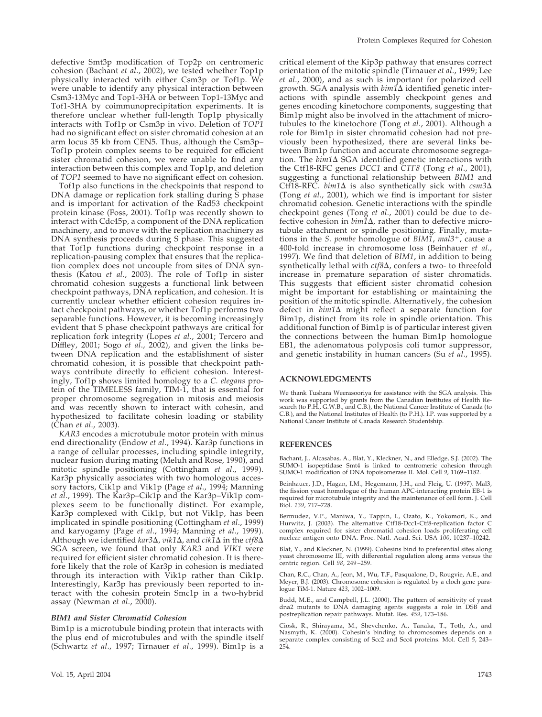defective Smt3p modification of Top2p on centromeric cohesion (Bachant *et al*., 2002), we tested whether Top1p physically interacted with either Csm3p or Tof1p. We were unable to identify any physical interaction between Csm3-13Myc and Top1-3HA or between Top1-13Myc and Tof1-3HA by coimmunoprecipitation experiments. It is therefore unclear whether full-length Top1p physically interacts with Tof1p or Csm3p in vivo. Deletion of *TOP1* had no significant effect on sister chromatid cohesion at an arm locus 35 kb from CEN5. Thus, although the Csm3p– Tof1p protein complex seems to be required for efficient sister chromatid cohesion, we were unable to find any interaction between this complex and Top1p, and deletion of *TOP1* seemed to have no significant effect on cohesion.

Tof1p also functions in the checkpoints that respond to DNA damage or replication fork stalling during S phase and is important for activation of the Rad53 checkpoint protein kinase (Foss, 2001). Tof1p was recently shown to interact with Cdc45p, a component of the DNA replication machinery, and to move with the replication machinery as DNA synthesis proceeds during S phase. This suggested that Tof1p functions during checkpoint response in a replication-pausing complex that ensures that the replication complex does not uncouple from sites of DNA synthesis (Katou *et al*., 2003). The role of Tof1p in sister chromatid cohesion suggests a functional link between checkpoint pathways, DNA replication, and cohesion. It is currently unclear whether efficient cohesion requires intact checkpoint pathways, or whether Tof1p performs two separable functions. However, it is becoming increasingly evident that S phase checkpoint pathways are critical for replication fork integrity (Lopes *et al*., 2001; Tercero and Diffley, 2001; Sogo *et al*., 2002), and given the links between DNA replication and the establishment of sister chromatid cohesion, it is possible that checkpoint pathways contribute directly to efficient cohesion. Interestingly, Tof1p shows limited homology to a *C. elegans* protein of the TIMELESS family, TIM-1, that is essential for proper chromosome segregation in mitosis and meiosis and was recently shown to interact with cohesin, and hypothesized to facilitate cohesin loading or stability (Chan *et al*., 2003).

*KAR3* encodes a microtubule motor protein with minus end directionality (Endow *et al*., 1994). Kar3p functions in a range of cellular processes, including spindle integrity, nuclear fusion during mating (Meluh and Rose, 1990), and mitotic spindle positioning (Cottingham *et al*., 1999). Kar3p physically associates with two homologous accessory factors, Cik1p and Vik1p (Page *et al*., 1994; Manning *et al*., 1999). The Kar3p–Cik1p and the Kar3p–Vik1p complexes seem to be functionally distinct. For example, Kar3p complexed with Cik1p, but not Vik1p, has been implicated in spindle positioning (Cottingham *et al*., 1999) and karyogamy (Page *et al*., 1994; Manning *et al*., 1999). Although we identified *kar*3 $\Delta$ , *vik*1 $\Delta$ , and *cik*1 $\Delta$  in the *ctf8* $\Delta$ SGA screen, we found that only *KAR3* and *VIK1* were required for efficient sister chromatid cohesion. It is therefore likely that the role of Kar3p in cohesion is mediated through its interaction with Vik1p rather than Cik1p. Interestingly, Kar3p has previously been reported to interact with the cohesin protein Smc1p in a two-hybrid assay (Newman *et al*., 2000).

#### *BIM1 and Sister Chromatid Cohesion*

Bim1p is a microtubule binding protein that interacts with the plus end of microtubules and with the spindle itself (Schwartz *et al*., 1997; Tirnauer *et al*., 1999). Bim1p is a

critical element of the Kip3p pathway that ensures correct orientation of the mitotic spindle (Tirnauer *et al*., 1999; Lee *et al*., 2000), and as such is important for polarized cell growth. SGA analysis with  $\lim_{\Delta} 1 \Delta$  identified genetic interactions with spindle assembly checkpoint genes and genes encoding kinetochore components, suggesting that Bim1p might also be involved in the attachment of microtubules to the kinetochore (Tong *et al*., 2001). Although a role for Bim1p in sister chromatid cohesion had not previously been hypothesized, there are several links between Bim1p function and accurate chromosome segregation. The  $\frac{bin1}{\Delta}$  SGA identified genetic interactions with the Ctf18-RFC genes *DCC1* and *CTF8* (Tong *et al*., 2001), suggesting a functional relationship between *BIM1* and Ctf18-RFC.  $bim1\Delta$  is also synthetically sick with  $csm3\Delta$ (Tong *et al*., 2001), which we find is important for sister chromatid cohesion. Genetic interactions with the spindle checkpoint genes (Tong *et al*., 2001) could be due to defective cohesion in  $\lim_{\Delta} \Lambda$  rather than to defective microtubule attachment or spindle positioning. Finally, mutations in the *S. pombe* homologue of *BIM1*, *mal3*, cause a 400-fold increase in chromosome loss (Beinhauer *et al*., 1997). We find that deletion of *BIM1*, in addition to being synthetically lethal with *ctf8* $\Delta$ , confers a two- to threefold increase in premature separation of sister chromatids. This suggests that efficient sister chromatid cohesion might be important for establishing or maintaining the position of the mitotic spindle. Alternatively, the cohesion defect in  $\text{bim1}\Delta$  might reflect a separate function for Bim1p, distinct from its role in spindle orientation. This additional function of Bim1p is of particular interest given the connections between the human Bim1p homologue EB1, the adenomatous polyposis coli tumor suppressor, and genetic instability in human cancers (Su *et al*., 1995).

#### **ACKNOWLEDGMENTS**

We thank Tushara Weerasooriya for assistance with the SGA analysis. This work was supported by grants from the Canadian Institutes of Health Research (to P.H., G.W.B., and C.B.), the National Cancer Institute of Canada (to C.B.), and the National Institutes of Health (to P.H.). I.P. was supported by a National Cancer Institute of Canada Research Studentship.

#### **REFERENCES**

Bachant, J., Alcasabas, A., Blat, Y., Kleckner, N., and Elledge, S.J. (2002). The SUMO-1 isopeptidase Smt4 is linked to centromeric cohesion through SUMO-1 modification of DNA topoisomerase II. Mol. Cell *9*, 1169–1182.

Beinhauer, J.D., Hagan, I.M., Hegemann, J.H., and Fleig, U. (1997). Mal3, the fission yeast homologue of the human APC-interacting protein EB-1 is required for microtubule integrity and the maintenance of cell form. J. Cell Biol. *139*, 717–728.

Bermudez, V.P., Maniwa, Y., Tappin, I., Ozato, K., Yokomori, K., and Hurwitz, J. (2003). The alternative Ctf18-Dcc1-Ctf8-replication factor C complex required for sister chromatid cohesion loads proliferating cell nuclear antigen onto DNA. Proc. Natl. Acad. Sci. USA *100*, 10237–10242.

Blat, Y., and Kleckner, N. (1999). Cohesins bind to preferential sites along yeast chromosome III, with differential regulation along arms versus the centric region. Cell *98*, 249 –259.

Chan, R.C., Chan, A., Jeon, M., Wu, T.F., Pasqualone, D., Rougvie, A.E., and Meyer, B.J. (2003). Chromosome cohesion is regulated by a cloch gene paralogue TiM-1. Nature *423*, 1002–1009.

Budd, M.E., and Campbell, J.L. (2000). The pattern of sensitivity of yeast dna2 mutants to DNA damaging agents suggests a role in DSB and postreplication repair pathways. Mutat. Res. *459*, 173–186.

Ciosk, R., Shirayama, M., Shevchenko, A., Tanaka, T., Toth, A., and Nasmyth, K. (2000). Cohesin's binding to chromosomes depends on a separate complex consisting of Scc2 and Scc4 proteins. Mol. Cell *5*, 243– 254.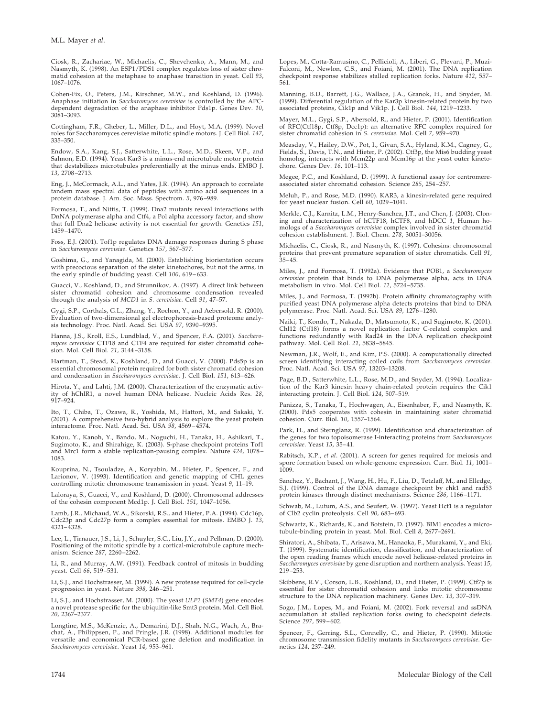Ciosk, R., Zachariae, W., Michaelis, C., Shevchenko, A., Mann, M., and Nasmyth, K. (1998). An ESP1/PDS1 complex regulates loss of sister chromatid cohesion at the metaphase to anaphase transition in yeast. Cell *93*, 1067–1076.

Cohen-Fix, O., Peters, J.M., Kirschner, M.W., and Koshland, D. (1996). Anaphase initiation in *Saccharomyces cerevisiae* is controlled by the APCdependent degradation of the anaphase inhibitor Pds1p. Genes Dev. *10*, 3081–3093.

Cottingham, F.R., Gheber, L., Miller, D.L., and Hoyt, M.A. (1999). Novel roles for Saccharomyces cerevisiae mitotic spindle motors. J. Cell Biol. *147*, 335–350.

Endow, S.A., Kang, S.J., Satterwhite, L.L., Rose, M.D., Skeen, V.P., and Salmon, E.D. (1994). Yeast Kar3 is a minus-end microtubule motor protein that destabilizes microtubules preferentially at the minus ends. EMBO J. *13*, 2708 –2713.

Eng, J., McCormack, A.L., and Yates, J.R. (1994). An approach to correlate tandem mass spectral data of peptides with amino acid sequences in a protein database. J. Am. Soc. Mass. Spectrom. *5*, 976 –989.

Formosa, T., and Nittis, T. (1999). Dna2 mutants reveal interactions with DnNA polymerase alpha and Ctf4, a Pol alpha accessory factor, and show that full Dna2 helicase activity is not essential for growth. Genetics *151*, 1459 –1470.

Foss, E.J. (2001). Tof1p regulates DNA damage responses during S phase in *Saccharomyces cerevisiae*. Genetics *157*, 567–577.

Goshima, G., and Yanagida, M. (2000). Establishing biorientation occurs with precocious separation of the sister kinetochores, but not the arms, in the early spindle of budding yeast. Cell *100*, 619 – 633.

Guacci, V., Koshland, D., and Strunnikov, A. (1997). A direct link between sister chromatid cohesion and chromosome condensation revealed through the analysis of *MCD1* in *S. cerevisiae.* Cell *91*, 47–57.

Gygi, S.P., Corthals, G.L., Zhang, Y., Rochon, Y., and Aebersold, R. (2000). Evaluation of two-dimensional gel electrophoresis-based proteome analysis technology. Proc. Natl. Acad. Sci. USA *97*, 9390 –9395.

Hanna, J.S., Kroll, E.S., Lundblad, V., and Spencer, F.A. (2001). *Saccharomyces cerevisiae* CTF18 and CTF4 are required for sister chromatid cohesion. Mol. Cell Biol. *21*, 3144 –3158.

Hartman, T., Stead, K., Koshland, D., and Guacci, V. (2000). Pds5p is an essential chromosomal protein required for both sister chromatid cohesion and condensation in *Saccharomyces cerevisiae*. J. Cell Biol. *151*, 613– 626.

Hirota, Y., and Lahti, J.M. (2000). Characterization of the enzymatic activity of hChlR1, a novel human DNA helicase. Nucleic Acids Res. *28*, 917–924.

Ito, T., Chiba, T., Ozawa, R., Yoshida, M., Hattori, M., and Sakaki, Y. (2001). A comprehensive two-hybrid analysis to explore the yeast protein interactome. Proc. Natl. Acad. Sci. USA *98*, 4569 – 4574.

Katou, Y., Kanoh, Y., Bando, M., Noguchi, H., Tanaka, H., Ashikari, T., Sugimoto, K., and Shirahige, K. (2003). S-phase checkpoint proteins Tof1 and Mrc1 form a stable replication-pausing complex. Nature *424*, 1078 – 1083.

Kouprina, N., Tsouladze, A., Koryabin, M., Hieter, P., Spencer, F., and Larionov, V. (1993). Identification and genetic mapping of CHL genes controlling mitotic chromosome transmission in yeast. Yeast *9*, 11–19.

Laloraya, S., Guacci, V., and Koshland, D. (2000). Chromosomal addresses of the cohesin component Mcd1p. J. Cell Biol. *151*, 1047–1056.

Lamb, J.R., Michaud, W.A., Sikorski, R.S., and Hieter, P.A. (1994). Cdc16p, Cdc23p and Cdc27p form a complex essential for mitosis. EMBO J. *13*, 4321– 4328.

Lee, L., Tirnauer, J.S., Li, J., Schuyler, S.C., Liu, J.Y., and Pellman, D. (2000). Positioning of the mitotic spindle by a cortical-microtubule capture mechanism. Science *287*, 2260 –2262.

Li, R., and Murray, A.W. (1991). Feedback control of mitosis in budding yeast. Cell *66*, 519 –531.

Li, S.J., and Hochstrasser, M. (1999). A new protease required for cell-cycle progression in yeast. Nature *398*, 246 –251.

Li, S.J., and Hochstrasser, M. (2000). The yeast *ULP2* (*SMT4*) gene encodes a novel protease specific for the ubiquitin-like Smt3 protein. Mol. Cell Biol. *20*, 2367–2377.

Longtine, M.S., McKenzie, A., Demarini, D.J., Shah, N.G., Wach, A., Brachat, A., Philippsen, P., and Pringle, J.R. (1998). Additional modules for versatile and economical PCR-based gene deletion and modification in *Saccharomyces cerevisiae*. Yeast *14*, 953–961. Lopes, M., Cotta-Ramusino, C., Pellicioli, A., Liberi, G., Plevani, P., Muzi-Falconi, M., Newlon, C.S., and Foiani, M. (2001). The DNA replication checkpoint response stabilizes stalled replication forks. Nature *412*, 557– 561.

Manning, B.D., Barrett, J.G., Wallace, J.A., Granok, H., and Snyder, M. (1999). Differential regulation of the Kar3p kinesin-related protein by two associated proteins, Cik1p and Vik1p. J. Cell Biol. *144*, 1219 –1233.

Mayer, M.L., Gygi, S.P., Abersold, R., and Hieter, P. (2001). Identification of RFC(Ctf18p, Ctf8p, Dcc1p): an alternative RFC complex required for sister chromatid cohesion in *S. cerevisiae.* Mol. Cell *7*, 959 –970.

Measday, V., Hailey, D.W., Pot, I., Givan, S.A., Hyland, K.M., Cagney, G., Fields, S., Davis, T.N., and Hieter, P. (2002). Ctf3p, the Mis6 budding yeast homolog, interacts with Mcm22p and Mcm16p at the yeast outer kinetochore. Genes Dev. *16*, 101–113.

Megee, P.C., and Koshland, D. (1999). A functional assay for centromereassociated sister chromatid cohesion. Science *285*, 254 –257.

Meluh, P., and Rose, M.D. (1990). KAR3, a kinesin-related gene required for yeast nuclear fusion. Cell *60*, 1029 –1041.

Merkle, C.J., Karnitz, L.M., Henry-Sanchez, J.T., and Chen, J. (2003). Cloning and characterization of hCTF18, hCTF8, and hDCC *1*, Human homologs of a *Saccharomyces cerevisiae* complex involved in sister chromatid cohesion establishment. J. Biol. Chem. *278*, 30051–30056.

Michaelis, C., Ciosk, R., and Nasmyth, K. (1997). Cohesins: chromosomal proteins that prevent premature separation of sister chromatids. Cell *91*,  $35 - 45$ .

Miles, J., and Formosa, T. (1992a). Evidence that POB1, a *Saccharomyces cerevisiae* protein that binds to DNA polymerase alpha, acts in DNA metabolism in vivo. Mol. Cell Biol. *12*, 5724 –5735.

Miles, J., and Formosa, T. (1992b). Protein affinity chromatography with purified yeast DNA polymerase alpha detects proteins that bind to DNA polymerase. Proc. Natl. Acad. Sci. USA *89*, 1276 –1280.

Naiki, T., Kondo, T., Nakada, D., Matsumoto, K., and Sugimoto, K. (2001). Chl12 (Ctf18) forms a novel replication factor C-related complex and functions redundantly with Rad24 in the DNA replication checkpoint pathway. Mol. Cell Biol. *21*, 5838 –5845.

Newman, J.R., Wolf, E., and Kim, P.S. (2000). A computationally directed screen identifying interacting coiled coils from *Saccharomyces cerevisiae*. Proc. Natl. Acad. Sci. USA *97*, 13203–13208.

Page, B.D., Satterwhite, L.L., Rose, M.D., and Snyder, M. (1994). Localization of the Kar3 kinesin heavy chain-related protein requires the Cik1 interacting protein. J. Cell Biol. *124*, 507–519.

Panizza, S., Tanaka, T., Hochwagen, A., Eisenhaber, F., and Nasmyth, K. (2000). Pds5 cooperates with cohesin in maintaining sister chromatid cohesion. Curr. Biol. *10*, 1557–1564.

Park, H., and Sternglanz, R. (1999). Identification and characterization of the genes for two topoisomerase I-interacting proteins from *Saccharomyces cerevisiae*. Yeast *15*, 35– 41.

Rabitsch, K.P., *et al*. (2001). A screen for genes required for meiosis and spore formation based on whole-genome expression. Curr. Biol. *11*, 1001– 1009.

Sanchez, Y., Bachant, J., Wang, H., Hu, F., Liu, D., Tetzlaff, M., and Elledge, S.J. (1999). Control of the DNA damage checkpoint by chk1 and rad53 protein kinases through distinct mechanisms. Science *286*, 1166 –1171.

Schwab, M., Lutum, A.S., and Seufert, W. (1997). Yeast Hct1 is a regulator of Clb2 cyclin proteolysis. Cell *90*, 683– 693.

Schwartz, K., Richards, K., and Botstein, D. (1997). BIM1 encodes a microtubule-binding protein in yeast. Mol. Biol. Cell *8*, 2677–2691.

Shiratori, A., Shibata, T., Arisawa, M., Hanaoka, F., Murakami, Y., and Eki, T. (1999). Systematic identification, classification, and characterization of the open reading frames which encode novel helicase-related proteins in *Saccharomyces cerevisiae* by gene disruption and northern analysis. Yeast *15*, 219 –253.

Skibbens, R.V., Corson, L.B., Koshland, D., and Hieter, P. (1999). Ctf7p is essential for sister chromatid cohesion and links mitotic chromosome structure to the DNA replication machinery. Genes Dev. *13*, 307–319.

Sogo, J.M., Lopes, M., and Foiani, M. (2002). Fork reversal and ssDNA accumulation at stalled replication forks owing to checkpoint defects. Science *297*, 599 – 602.

Spencer, F., Gerring, S.L., Connelly, C., and Hieter, P. (1990). Mitotic chromosome transmission fidelity mutants in *Saccharomyces cerevisiae*. Genetics *124*, 237–249.